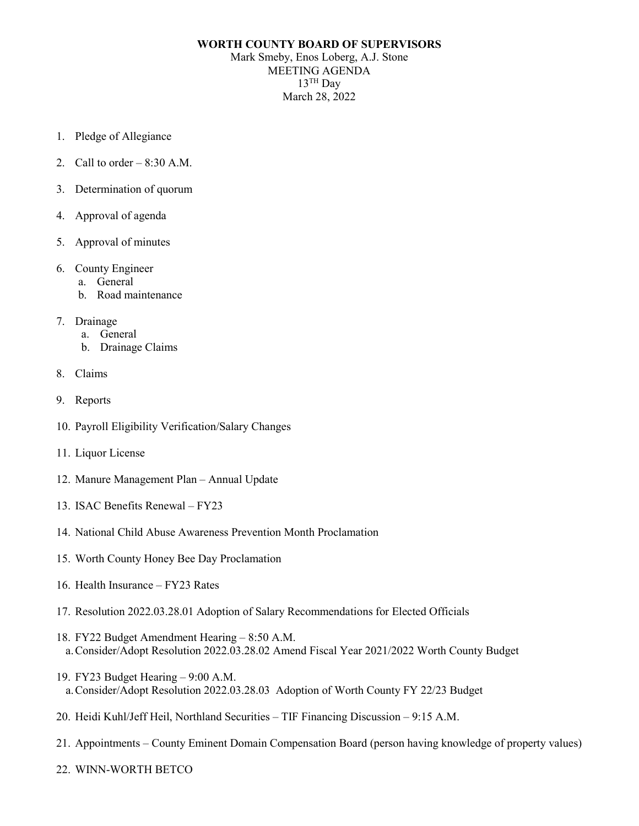## **WORTH COUNTY BOARD OF SUPERVISORS** Mark Smeby, Enos Loberg, A.J. Stone MEETING AGENDA

 $13$ <sup>TH</sup> Day March 28, 2022

- 1. Pledge of Allegiance
- 2. Call to order  $-8:30$  A.M.
- 3. Determination of quorum
- 4. Approval of agenda
- 5. Approval of minutes
- 6. County Engineer
	- a. General
	- b. Road maintenance
- 7. Drainage
	- a. General
	- b. Drainage Claims
- 8. Claims
- 9. Reports
- 10. Payroll Eligibility Verification/Salary Changes
- 11. Liquor License
- 12. Manure Management Plan Annual Update
- 13. ISAC Benefits Renewal FY23
- 14. National Child Abuse Awareness Prevention Month Proclamation
- 15. Worth County Honey Bee Day Proclamation
- 16. Health Insurance FY23 Rates
- 17. Resolution 2022.03.28.01 Adoption of Salary Recommendations for Elected Officials
- 18. FY22 Budget Amendment Hearing 8:50 A.M. a.Consider/Adopt Resolution 2022.03.28.02 Amend Fiscal Year 2021/2022 Worth County Budget
- 19. FY23 Budget Hearing 9:00 A.M. a.Consider/Adopt Resolution 2022.03.28.03 Adoption of Worth County FY 22/23 Budget
- 20. Heidi Kuhl/Jeff Heil, Northland Securities TIF Financing Discussion 9:15 A.M.
- 21. Appointments County Eminent Domain Compensation Board (person having knowledge of property values)
- 22. WINN-WORTH BETCO